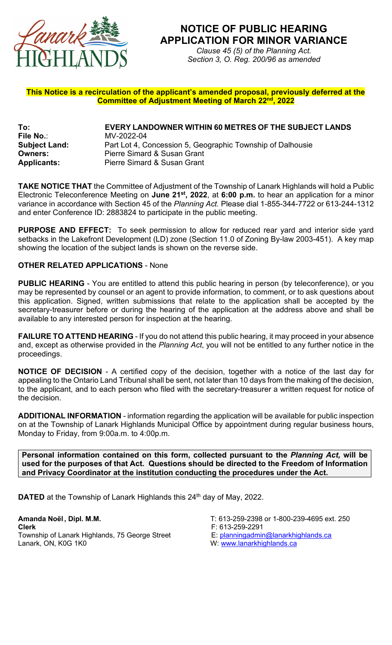

## **NOTICE OF PUBLIC HEARING APPLICATION FOR MINOR VARIANCE**

*Clause 45 (5) of the Planning Act. Section 3, O. Reg. 200/96 as amended*

## **This Notice is a recirculation of the applicant's amended proposal, previously deferred at the Committee of Adjustment Meeting of March 22nd, 2022**

**To: EVERY LANDOWNER WITHIN 60 METRES OF THE SUBJECT LANDS File No.**: MV-2022-04 **Subject Land:** Part Lot 4, Concession 5, Geographic Township of Dalhousie **Owners:** Pierre Simard & Susan Grant<br> **Applicants:** Pierre Simard & Susan Grant **Applicants:** Pierre Simard & Susan Grant

**TAKE NOTICE THAT** the Committee of Adjustment of the Township of Lanark Highlands will hold a Public Electronic Teleconference Meeting on **June 21st, 2022**, at **6:00 p.m.** to hear an application for a minor variance in accordance with Section 45 of the *Planning Act.* Please dial 1-855-344-7722 or 613-244-1312 and enter Conference ID: 2883824 to participate in the public meeting.

**PURPOSE AND EFFECT:** To seek permission to allow for reduced rear yard and interior side yard setbacks in the Lakefront Development (LD) zone (Section 11.0 of Zoning By-law 2003-451). A key map showing the location of the subject lands is shown on the reverse side.

## **OTHER RELATED APPLICATIONS** - None

**PUBLIC HEARING** - You are entitled to attend this public hearing in person (by teleconference), or you may be represented by counsel or an agent to provide information, to comment, or to ask questions about this application. Signed, written submissions that relate to the application shall be accepted by the secretary-treasurer before or during the hearing of the application at the address above and shall be available to any interested person for inspection at the hearing.

**FAILURE TO ATTEND HEARING** - If you do not attend this public hearing, it may proceed in your absence and, except as otherwise provided in the *Planning Act*, you will not be entitled to any further notice in the proceedings.

**NOTICE OF DECISION** - A certified copy of the decision, together with a notice of the last day for appealing to the Ontario Land Tribunal shall be sent, not later than 10 days from the making of the decision, to the applicant, and to each person who filed with the secretary-treasurer a written request for notice of the decision.

**ADDITIONAL INFORMATION** - information regarding the application will be available for public inspection on at the Township of Lanark Highlands Municipal Office by appointment during regular business hours, Monday to Friday, from 9:00a.m. to 4:00p.m.

**Personal information contained on this form, collected pursuant to the** *Planning Act,* **will be used for the purposes of that Act. Questions should be directed to the Freedom of Information and Privacy Coordinator at the institution conducting the procedures under the Act.**

**DATED** at the Township of Lanark Highlands this 24<sup>th</sup> day of May, 2022.

**Clerk**<br>Township of Lanark Highlands, 75 George Street F: 613-259-2291<br>E: <u>planningadmin@lanarkhighlands.ca</u> Township of Lanark Highlands, 75 George Street Lanark, ON, K0G 1K0

**Amanda Noël , Dipl. M.M.** T: 613-259-2398 or 1-800-239-4695 ext. 250